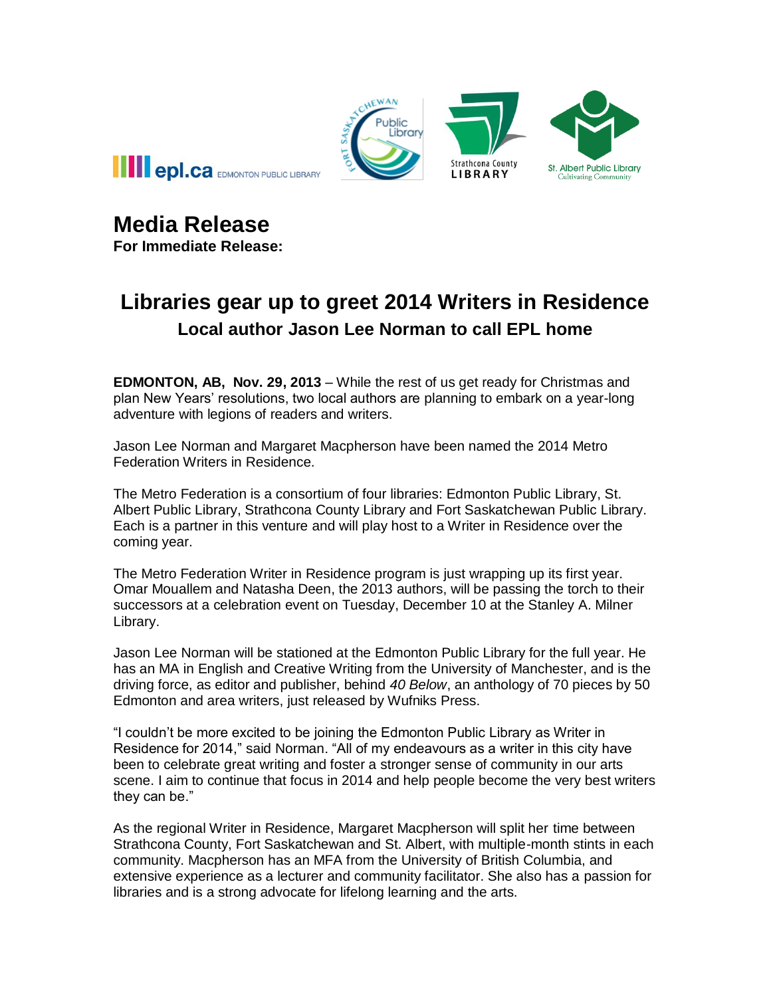



**For Immediate Release:**

## **Libraries gear up to greet 2014 Writers in Residence Local author Jason Lee Norman to call EPL home**

**EDMONTON, AB, Nov. 29, 2013** – While the rest of us get ready for Christmas and plan New Years' resolutions, two local authors are planning to embark on a year-long adventure with legions of readers and writers.

Jason Lee Norman and Margaret Macpherson have been named the 2014 Metro Federation Writers in Residence.

The Metro Federation is a consortium of four libraries: Edmonton Public Library, St. Albert Public Library, Strathcona County Library and Fort Saskatchewan Public Library. Each is a partner in this venture and will play host to a Writer in Residence over the coming year.

The Metro Federation Writer in Residence program is just wrapping up its first year. Omar Mouallem and Natasha Deen, the 2013 authors, will be passing the torch to their successors at a celebration event on Tuesday, December 10 at the Stanley A. Milner Library.

Jason Lee Norman will be stationed at the Edmonton Public Library for the full year. He has an MA in English and Creative Writing from the University of Manchester, and is the driving force, as editor and publisher, behind *40 Below*, an anthology of 70 pieces by 50 Edmonton and area writers, just released by Wufniks Press.

"I couldn't be more excited to be joining the Edmonton Public Library as Writer in Residence for 2014," said Norman. "All of my endeavours as a writer in this city have been to celebrate great writing and foster a stronger sense of community in our arts scene. I aim to continue that focus in 2014 and help people become the very best writers they can be."

As the regional Writer in Residence, Margaret Macpherson will split her time between Strathcona County, Fort Saskatchewan and St. Albert, with multiple-month stints in each community. Macpherson has an MFA from the University of British Columbia, and extensive experience as a lecturer and community facilitator. She also has a passion for libraries and is a strong advocate for lifelong learning and the arts.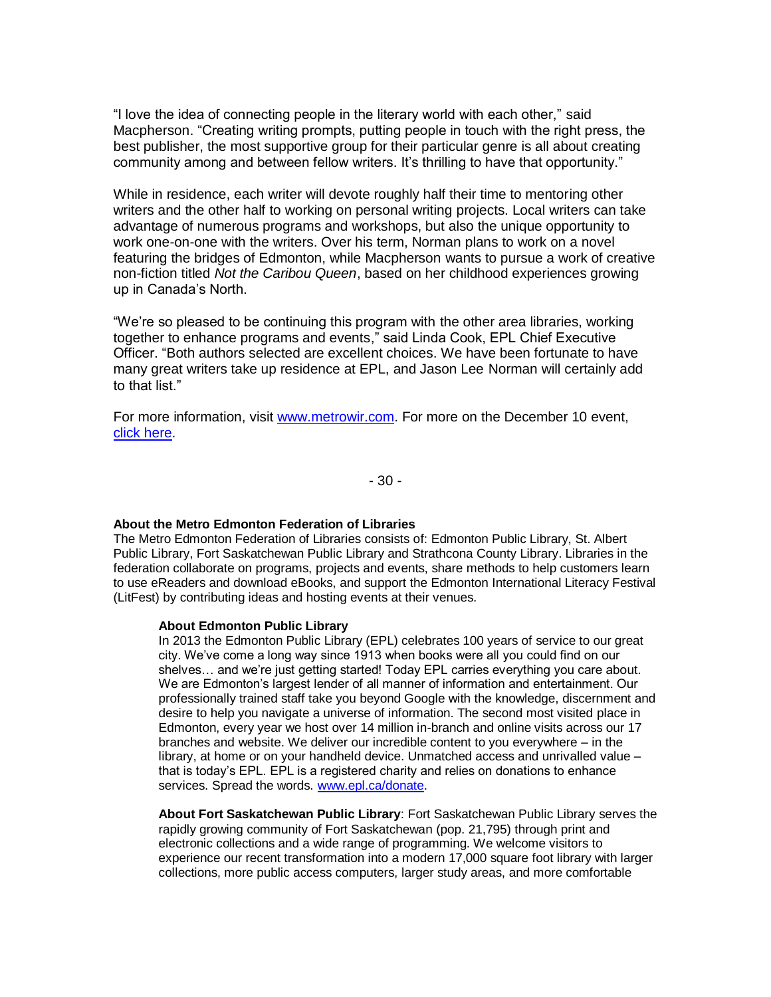"I love the idea of connecting people in the literary world with each other," said Macpherson. "Creating writing prompts, putting people in touch with the right press, the best publisher, the most supportive group for their particular genre is all about creating community among and between fellow writers. It's thrilling to have that opportunity."

While in residence, each writer will devote roughly half their time to mentoring other writers and the other half to working on personal writing projects. Local writers can take advantage of numerous programs and workshops, but also the unique opportunity to work one-on-one with the writers. Over his term, Norman plans to work on a novel featuring the bridges of Edmonton, while Macpherson wants to pursue a work of creative non-fiction titled *Not the Caribou Queen*, based on her childhood experiences growing up in Canada's North.

"We're so pleased to be continuing this program with the other area libraries, working together to enhance programs and events," said Linda Cook, EPL Chief Executive Officer. "Both authors selected are excellent choices. We have been fortunate to have many great writers take up residence at EPL, and Jason Lee Norman will certainly add to that list."

For more information, visit [www.metrowir.com.](http://www.metrowir.com/) For more on the December 10 event, [click here.](http://www.epl.ca/writer-in-residence?tab=2)

- 30 -

## **About the Metro Edmonton Federation of Libraries**

The Metro Edmonton Federation of Libraries consists of: Edmonton Public Library, St. Albert Public Library, Fort Saskatchewan Public Library and Strathcona County Library. Libraries in the federation collaborate on programs, projects and events, share methods to help customers learn to use eReaders and download eBooks, and support the Edmonton International Literacy Festival (LitFest) by contributing ideas and hosting events at their venues.

## **About Edmonton Public Library**

In 2013 the Edmonton Public Library (EPL) celebrates 100 years of service to our great city. We've come a long way since 1913 when books were all you could find on our shelves… and we're just getting started! Today EPL carries everything you care about. We are Edmonton's largest lender of all manner of information and entertainment. Our professionally trained staff take you beyond Google with the knowledge, discernment and desire to help you navigate a universe of information. The second most visited place in Edmonton, every year we host over 14 million in-branch and online visits across our 17 branches and website. We deliver our incredible content to you everywhere – in the library, at home or on your handheld device. Unmatched access and unrivalled value – that is today's EPL. EPL is a registered charity and relies on donations to enhance services. Spread the words. [www.epl.ca/donate.](http://www.epl.ca/donate)

**About Fort Saskatchewan Public Library**: Fort Saskatchewan Public Library serves the rapidly growing community of Fort Saskatchewan (pop. 21,795) through print and electronic collections and a wide range of programming. We welcome visitors to experience our recent transformation into a modern 17,000 square foot library with larger collections, more public access computers, larger study areas, and more comfortable